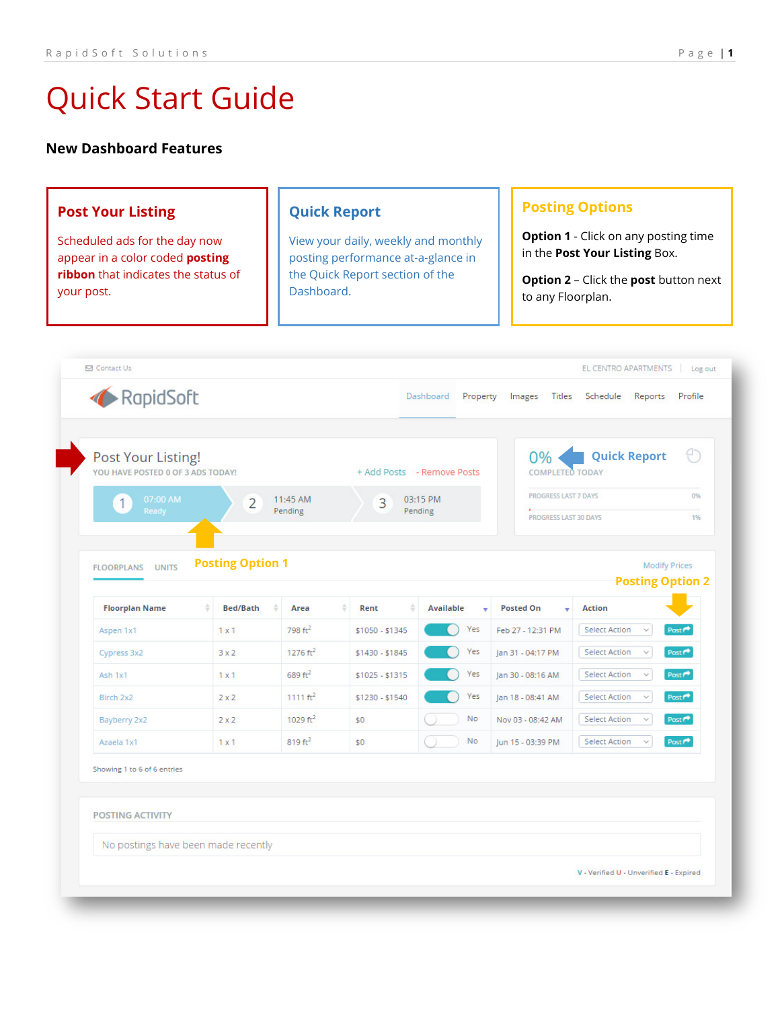# **New Dashboard Features**

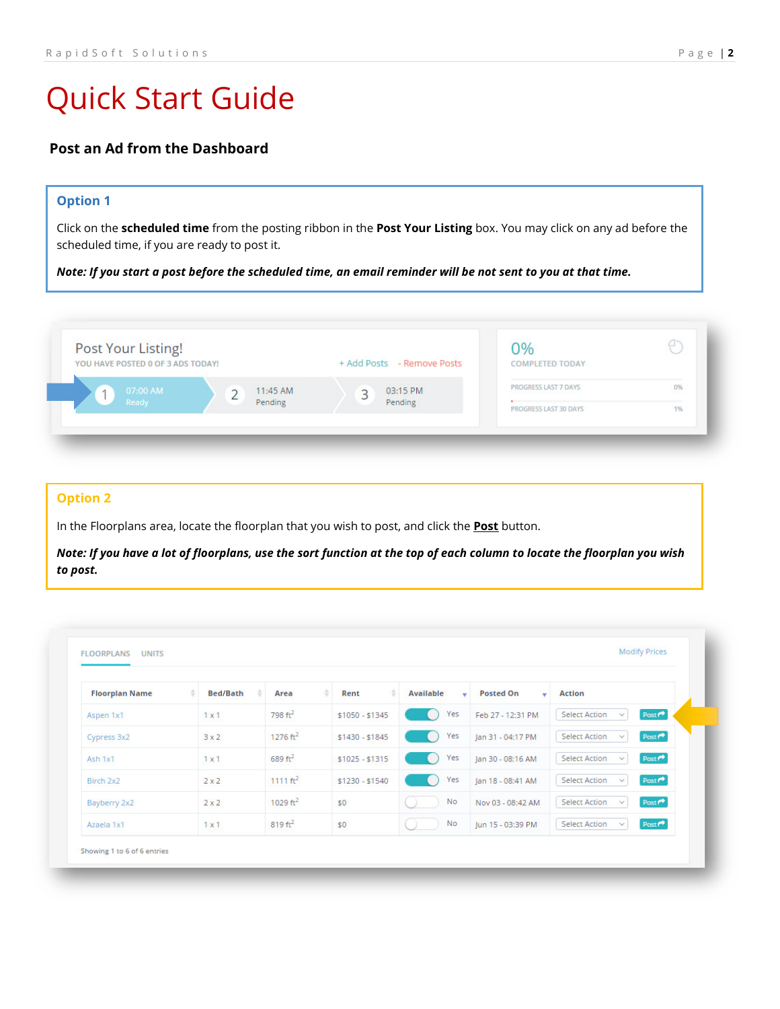# **Post an Ad from the Dashboard**

### **Option 1**

Click on the **scheduled time** from the posting ribbon in the **Post Your Listing** box. You may click on any ad before the scheduled time, if you are ready to post it.

*Note: If you start a post before the scheduled time, an email reminder will be not sent to you at that time.*

| Post Your Listing!<br>YOU HAVE POSTED 0 OF 3 ADS TODAY! |                     | + Add Posts - Remove Posts | 70/<br><b>COMPLETED TODAY</b> |    |
|---------------------------------------------------------|---------------------|----------------------------|-------------------------------|----|
| 07:00 AM<br>Ready                                       | 11:45 AM<br>Pending | 03:15 PM<br>Pending        | <b>PROGRESS LAST 7 DAYS</b>   | 0% |

### **Option 2**

In the Floorplans area, locate the floorplan that you wish to post, and click the **Post** button.

*Note: If you have a lot of floorplans, use the sort function at the top of each column to locate the floorplan you wish to post.*

| <b>Floorplan Name</b> | <b>Bed/Bath</b> | Area                | Rent            | Available<br>٠ | <b>Posted On</b><br>٠ | <b>Action</b>                                             |
|-----------------------|-----------------|---------------------|-----------------|----------------|-----------------------|-----------------------------------------------------------|
| Aspen 1x1             | 1x1             | $798 \text{ ft}^2$  | $$1050 - $1345$ | Yes<br>a.      | Feb 27 - 12:31 PM     | $Post*$<br><b>Select Action</b><br>$\checkmark$           |
| Cypress 3x2           | 3x2             | $1276 \text{ ft}^2$ | $$1430 - $1845$ | Yes            | Jan 31 - 04:17 PM     | Post <sup>4</sup><br><b>Select Action</b><br>$\checkmark$ |
| Ash 1x1               | $1 \times 1$    | $689 \text{ ft}^2$  | $$1025 - $1315$ | Yes<br>a.      | Jan 30 - 08:16 AM     | Post <sup>*</sup><br><b>Select Action</b><br>$\checkmark$ |
| Birch 2x2             | $2 \times 2$    | $1111 \text{ ft}^2$ | $$1230 - $1540$ | Yes            | Jan 18 - 08:41 AM     | Post <sup>*</sup><br><b>Select Action</b><br>v            |
| Bayberry 2x2          | $2 \times 2$    | 1029 $ft^2$         | \$0             | <b>No</b>      | Nov 03 - 08:42 AM     | Post <sup>*</sup><br><b>Select Action</b><br>$\checkmark$ |
| Azaela 1x1            | $1 \times 1$    | $819 \text{ ft}^2$  | \$0             | No             | Jun 15 - 03:39 PM     | Post <sup>*</sup><br><b>Select Action</b><br>$\vee$       |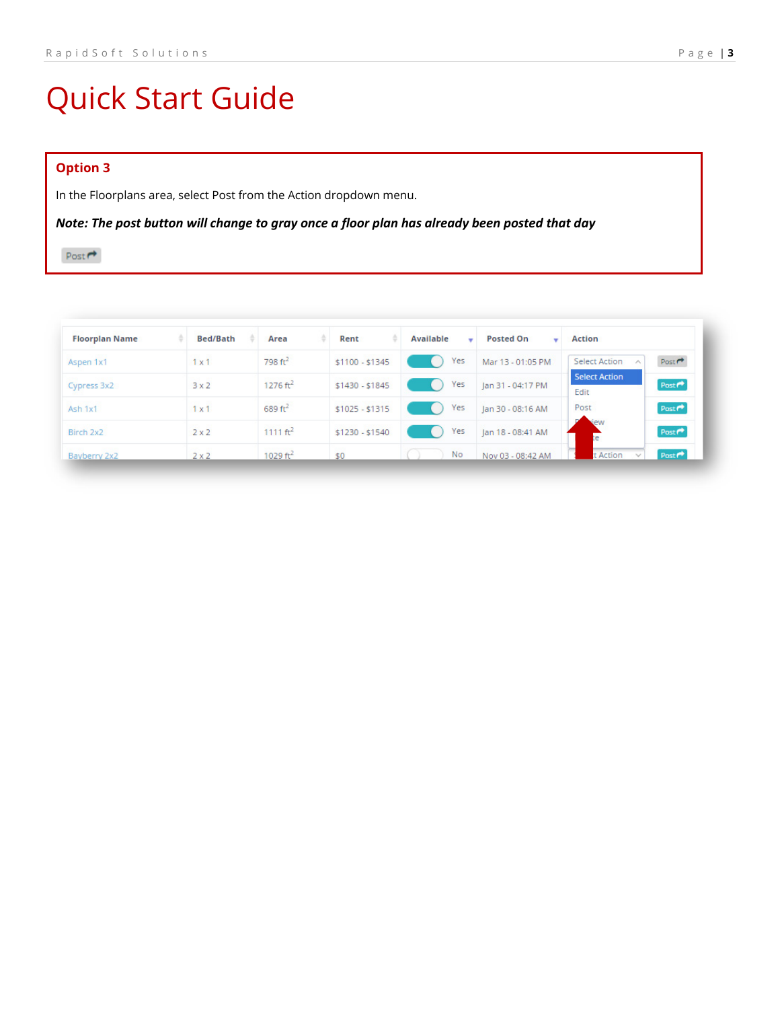# **Option 3**

In the Floorplans area, select Post from the Action dropdown menu.

*Note: The post button will change to gray once a floor plan has already been posted that day*

Post  $\rightarrow$ 

| <b>Floorplan Name</b> | <b>Bed/Bath</b> | Area                 | Rent            | Available<br>٠ | <b>Posted On</b>  | <b>Action</b>                                     |
|-----------------------|-----------------|----------------------|-----------------|----------------|-------------------|---------------------------------------------------|
| Aspen 1x1             | $1 \times 1$    | $798 \text{ ft}^2$   | $$1100 - $1345$ | Yes            | Mar 13 - 01:05 PM | Post<br><b>Select Action</b><br>$\wedge$          |
| Cypress 3x2           | 3x2             | 1276 $ft^2$          | $$1430 - $1845$ | Yes            | Jan 31 - 04:17 PM | <b>Select Action</b><br>Post <sup>*</sup><br>Edit |
| Ash 1x1               | 1x1             | $689 \text{ ft}^2$   | $$1025 - $1315$ | Yes            | Jan 30 - 08:16 AM | Post<br>Post <sup>*</sup>                         |
| Birch 2x2             | $2 \times 2$    | 1111 ft <sup>2</sup> | $$1230 - $1540$ | Yes            | Jan 18 - 08:41 AM | <b>dew</b><br>Post <sup>*</sup><br>re.            |
| Bayberry 2x2          | $2 \times 2$    | 1029 ft <sup>2</sup> | \$0             | <b>No</b>      | Nov 03 - 08:42 AM | t Action<br>Post                                  |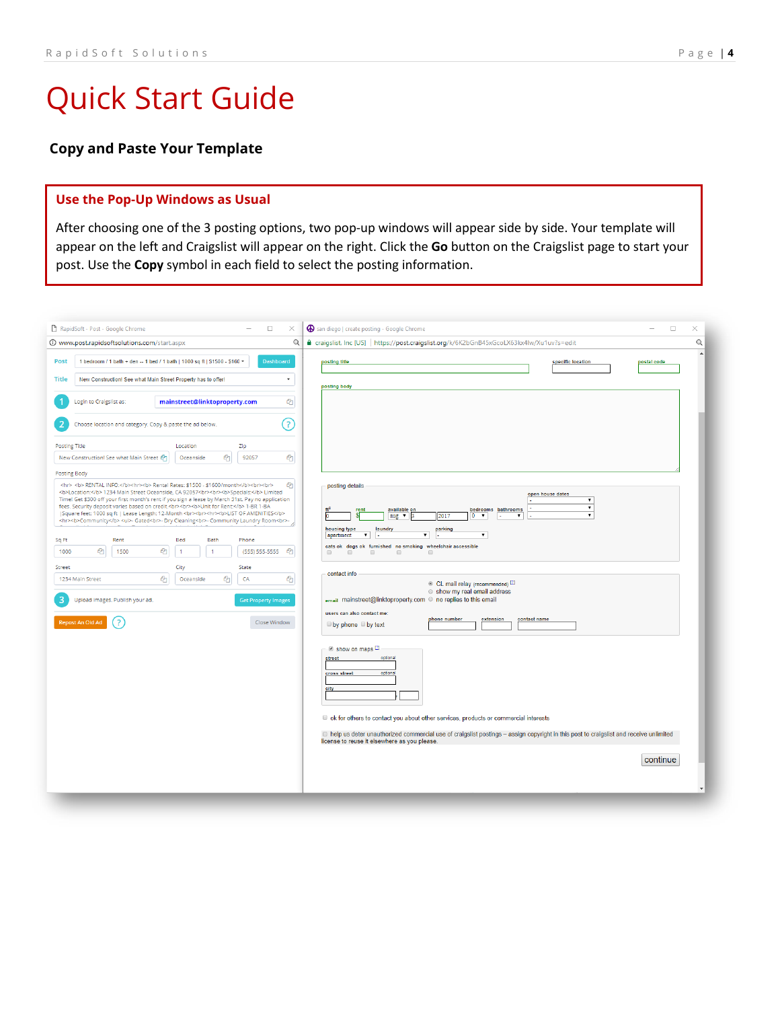# **Copy and Paste Your Template**

### **Use the Pop-Up Windows as Usual**

After choosing one of the 3 posting options, two pop-up windows will appear side by side. Your template will appear on the left and Craigslist will appear on the right. Click the **Go** button on the Craigslist page to start your post. Use the **Copy** symbol in each field to select the posting information.

| RapidSoft - Post - Google Chrome<br>$\Box$<br>X                                                                                                                                                                                                                                                                                                              | San diego   create posting - Google Chrome<br>$\Box$<br>×                                                                                                                                                                                                                                                                                                                                                                                                                                                                |
|--------------------------------------------------------------------------------------------------------------------------------------------------------------------------------------------------------------------------------------------------------------------------------------------------------------------------------------------------------------|--------------------------------------------------------------------------------------------------------------------------------------------------------------------------------------------------------------------------------------------------------------------------------------------------------------------------------------------------------------------------------------------------------------------------------------------------------------------------------------------------------------------------|
| $\Theta$<br>10 www.post.rapidsoftsolutions.com/start.aspx                                                                                                                                                                                                                                                                                                    | $\Theta$<br>e craigslist, Inc [US] https://post.craigslist.org/k/6K2bGnB45xGcoLX63kx4lw/Xu1uv?s=edit                                                                                                                                                                                                                                                                                                                                                                                                                     |
| 1 bedroom / 1 bath + den -- 1 bed / 1 bath   1000 sq ft   \$1500 - \$160 +<br><b>Dashboard</b><br><b>Post</b>                                                                                                                                                                                                                                                | posting title<br>specific location<br>postal code                                                                                                                                                                                                                                                                                                                                                                                                                                                                        |
| <b>Title</b><br>New Construction! See what Main Street Property has to offer!<br>٠                                                                                                                                                                                                                                                                           | posting body                                                                                                                                                                                                                                                                                                                                                                                                                                                                                                             |
| €<br>Login to Craigslist as:<br>mainstreet@linktoproperty.com                                                                                                                                                                                                                                                                                                |                                                                                                                                                                                                                                                                                                                                                                                                                                                                                                                          |
| $\left( 3\right)$<br>Choose location and category. Copy & paste the ad below.                                                                                                                                                                                                                                                                                |                                                                                                                                                                                                                                                                                                                                                                                                                                                                                                                          |
| <b>Posting Title</b><br>Location<br>Zip<br>New Construction! See what Main Street @<br>伵<br>92057<br>€<br>Oceanside                                                                                                                                                                                                                                          |                                                                                                                                                                                                                                                                                                                                                                                                                                                                                                                          |
| <b>Posting Body</b>                                                                                                                                                                                                                                                                                                                                          |                                                                                                                                                                                                                                                                                                                                                                                                                                                                                                                          |
| 色<br><hr/> <b> RENTAL INFO:</b> <hr/><br>>> Rental Rates: \$1500 - \$1600/month<br>><br>>><br>>>><br><b>Location:</b> 1234 Main Street Oceanside, CA 92057<br><br>><br>>Specials:>Limited<br>Time! Get \$300 off your first month's rent if you sign a lease by March 31st. Pay no application<br>fees. Security deposit varies based on credit.<br><br><br> | posting details<br>open house dates<br>$\pmb{\mathrm{v}}$<br>$\overline{\mathbf{v}}$<br>available on<br>bedrooms bathrooms<br>rent<br>$\pmb{\mathrm{v}}$<br>S<br>2017<br>$0 - 7$<br>$\pmb{\mathrm{v}}$<br>aug $\mathbf{v}$<br>housing type<br>parking<br>laundry<br>$\mathbf{v}$<br>$\pmb{\mathrm{v}}$<br>۷.<br>apartment<br>cats ok dogs ok furnished no smoking wheelchair accessible<br>$\qquad \qquad \qquad \qquad \qquad \qquad$<br>$\qquad \qquad \Box$<br>$\qquad \qquad \Box$<br>$\qquad \qquad \Box$<br>$\Box$ |
| Street<br>City<br>State<br>€<br>பி<br>€<br>Oceanside<br>CA<br>1234 Main Street                                                                                                                                                                                                                                                                               | contact info                                                                                                                                                                                                                                                                                                                                                                                                                                                                                                             |
| 3<br>Upload images. Publish your ad.<br><b>Get Property Images</b><br>Repost An Old Ad<br>$\overline{\phantom{a}}$<br>Close Window                                                                                                                                                                                                                           | © CL mail relay (recommended) [2]<br>Show my real email address<br>email mainstreet@linktoproperty.com © no replies to this email<br>users can also contact me:<br>phone number<br>extension<br>contact name<br>$\Box$ by phone $\Box$ by text                                                                                                                                                                                                                                                                           |
|                                                                                                                                                                                                                                                                                                                                                              | Show on maps [2]<br>optional<br>street<br>optional<br>cross street<br>city<br>ID ok for others to contact you about other services, products or commercial interests<br>□ help us deter unauthorized commercial use of craigslist postings - assign copyright in this post to craigslist and receive unlimited<br>license to reuse it elsewhere as you please.<br>continue                                                                                                                                               |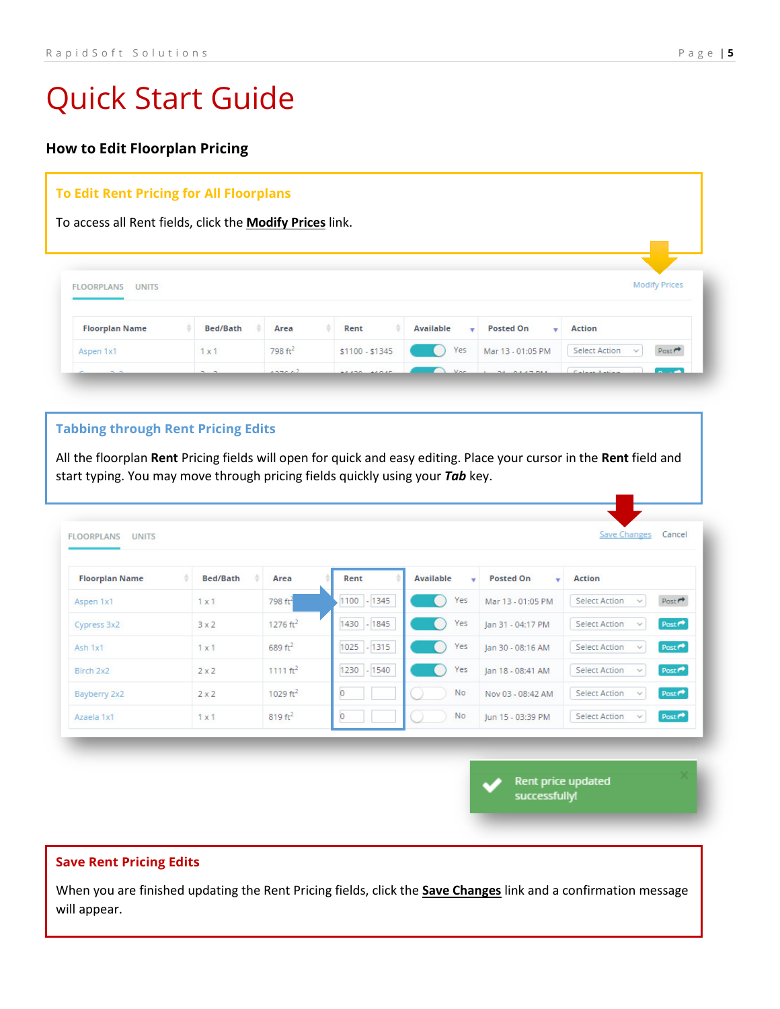# **How to Edit Floorplan Pricing**

## **To Edit Rent Pricing for All Floorplans**

To access all Rent fields, click the **Modify Prices** link.

| Available<br><b>Posted On</b><br><b>Floorplan Name</b><br><b>Bed/Bath</b><br>Area<br>Rent<br><b>Action</b><br>$\overline{\phantom{a}}$<br>$798 \text{ ft}^2$<br><b>Select Action</b><br>Post <sup>+</sup><br>. .<br>$\checkmark$ | <b>FLOORPLANS</b><br><b>UNITS</b> |              |                 |     |                   | <b>Modify Prices</b> |
|----------------------------------------------------------------------------------------------------------------------------------------------------------------------------------------------------------------------------------|-----------------------------------|--------------|-----------------|-----|-------------------|----------------------|
|                                                                                                                                                                                                                                  |                                   |              |                 |     |                   |                      |
|                                                                                                                                                                                                                                  | Aspen 1x1                         | $1 \times 1$ | $$1100 - $1345$ | Yes | Mar 13 - 01:05 PM |                      |

### **Tabbing through Rent Pricing Edits**

All the floorplan **Rent** Pricing fields will open for quick and easy editing. Place your cursor in the **Rent** field and start typing. You may move through pricing fields quickly using your *Tab* key.

| <b>Floorplan Name</b> | <b>Bed/Bath</b> | Area                | Rent        | <b>Available</b><br>۰ | <b>Posted On</b><br>$\mathbf{r}$ | <b>Action</b>                                             |
|-----------------------|-----------------|---------------------|-------------|-----------------------|----------------------------------|-----------------------------------------------------------|
| Aspen 1x1             | 1x1             | 798 ft <sup>4</sup> | 1100 - 1345 | Yes                   | Mar 13 - 01:05 PM                | Post <sup>+</sup><br><b>Select Action</b><br>$\checkmark$ |
| Cypress 3x2           | 3x2             | $1276 \text{ ft}^2$ | 1430 - 1845 | Yes                   | Jan 31 - 04:17 PM                | Post <sup>*</sup><br><b>Select Action</b><br>$\checkmark$ |
| Ash 1x1               | $1 \times 1$    | $689 \text{ ft}^2$  | 1025 - 1315 | Yes                   | Jan 30 - 08:16 AM                | Post <sup>*</sup><br><b>Select Action</b><br>$\checkmark$ |
| Birch 2x2             | $2 \times 2$    | 1111 $ft^2$         | 1230 - 1540 | Yes                   | Jan 18 - 08:41 AM                | Post <sup>*</sup><br><b>Select Action</b><br>$\checkmark$ |
| Bayberry 2x2          | $2 \times 2$    | 1029 $ft^2$         | O.          | No.                   | Nov 03 - 08:42 AM                | Post <sup>*</sup><br><b>Select Action</b><br>$\checkmark$ |
| Azaela 1x1            | 1x1             | $819 \text{ ft}^2$  | O.          | <b>No</b>             | Jun 15 - 03:39 PM                | Post $\rho$<br><b>Select Action</b><br>$\mathcal{L}$      |

Rent price updated successfully!

## **Save Rent Pricing Edits**

When you are finished updating the Rent Pricing fields, click the **Save Changes** link and a confirmation message will appear.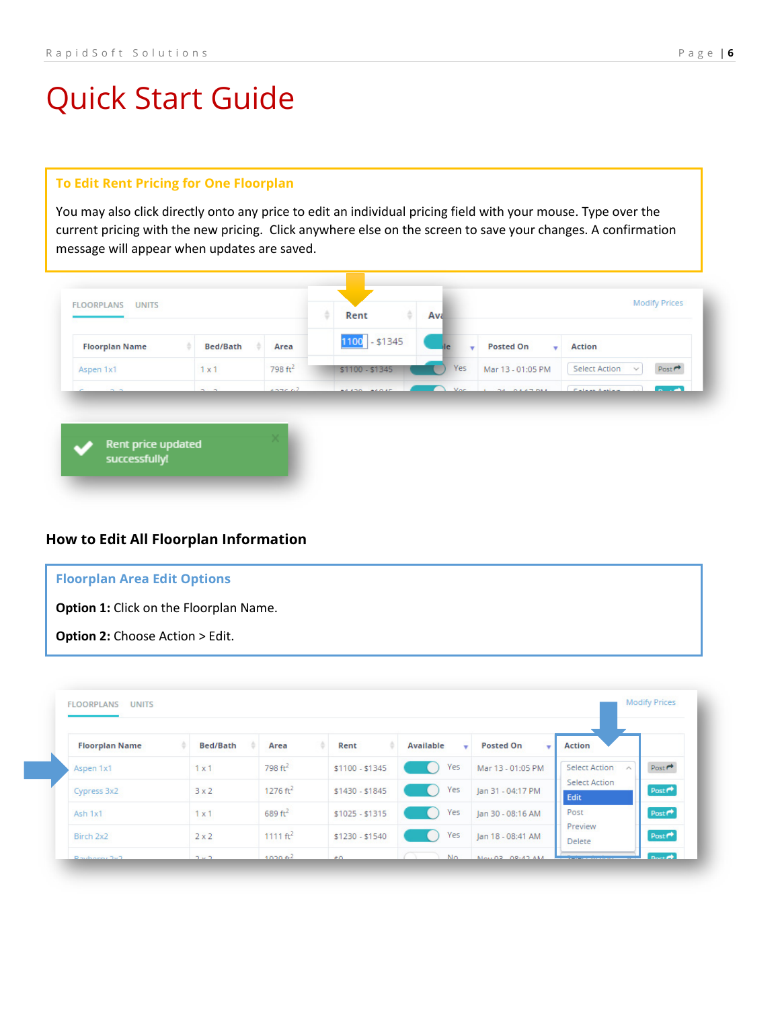### **To Edit Rent Pricing for One Floorplan**

You may also click directly onto any price to edit an individual pricing field with your mouse. Type over the current pricing with the new pricing. Click anywhere else on the screen to save your changes. A confirmation message will appear when updates are saved.



# **How to Edit All Floorplan Information**

| <b>Floorplan Area Edit Options</b>            |
|-----------------------------------------------|
| <b>Option 1:</b> Click on the Floorplan Name. |
| <b>Option 2:</b> Choose Action > Edit.        |

| <b>Floorplan Name</b> | <b>Bed/Bath</b> | Area        | Rent            | <b>Available</b><br>٠ | <b>Posted On</b><br>$\mathbf{v}$ | <b>Action</b>                                |      |
|-----------------------|-----------------|-------------|-----------------|-----------------------|----------------------------------|----------------------------------------------|------|
| Aspen 1x1             | $1 \times 1$    | 798 $ft2$   | \$1100 - \$1345 | Yes                   | Mar 13 - 01:05 PM                | <b>Select Action</b><br>$\scriptstyle\wedge$ | Post |
| Cypress 3x2           | 3x2             | 1276 $ft^2$ | $$1430 - $1845$ | Yes                   | Jan 31 - 04:17 PM                | <b>Select Action</b><br>Edit                 | Post |
| Ash 1x1               | $1 \times 1$    | 689 $ft2$   | $$1025 - $1315$ | Yes                   | Jan 30 - 08:16 AM                | Post                                         | Post |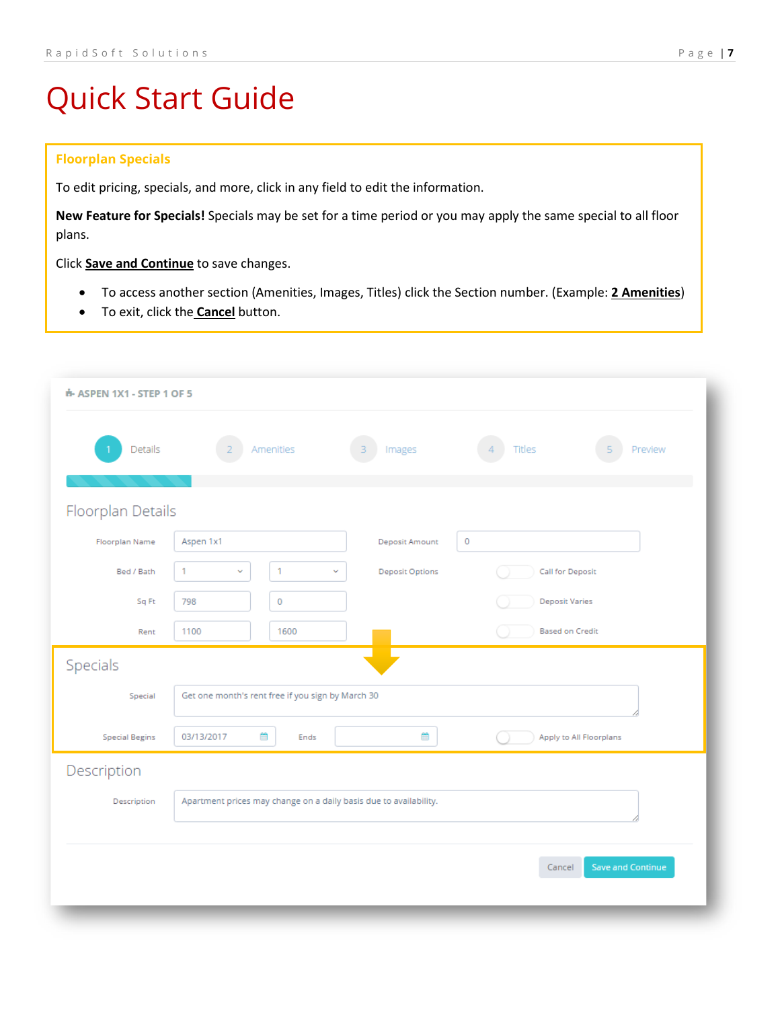### **Floorplan Specials**

To edit pricing, specials, and more, click in any field to edit the information.

**New Feature for Specials!** Specials may be set for a time period or you may apply the same special to all floor plans.

Click **Save and Continue** to save changes.

- To access another section (Amenities, Images, Titles) click the Section number. (Example: **2 Amenities**)
- To exit, click the **Cancel** button.

| Details               | Amenities<br>3                                                    | Titles<br>Preview<br>Images<br>$\Delta$<br>5      |
|-----------------------|-------------------------------------------------------------------|---------------------------------------------------|
|                       |                                                                   |                                                   |
| Floorplan Details     |                                                                   |                                                   |
| <b>Floorplan Name</b> | Aspen 1x1                                                         | 0<br>Deposit Amount                               |
| Bed / Bath            | 1<br>1<br>$\checkmark$<br>v                                       | <b>Deposit Options</b><br><b>Call for Deposit</b> |
| Sq Ft                 | $\pmb{0}$<br>798                                                  | <b>Deposit Varies</b>                             |
| Rent                  | 1600<br>1100                                                      | <b>Based on Credit</b>                            |
| Specials              |                                                                   |                                                   |
| Special               | Get one month's rent free if you sign by March 30                 |                                                   |
| <b>Special Begins</b> | 飴<br>03/13/2017<br>Ends                                           | m<br>Apply to All Floorplans                      |
| Description           |                                                                   |                                                   |
| Description           | Apartment prices may change on a daily basis due to availability. |                                                   |
|                       |                                                                   |                                                   |
|                       |                                                                   | Save and Continue<br>Cancel                       |
|                       |                                                                   |                                                   |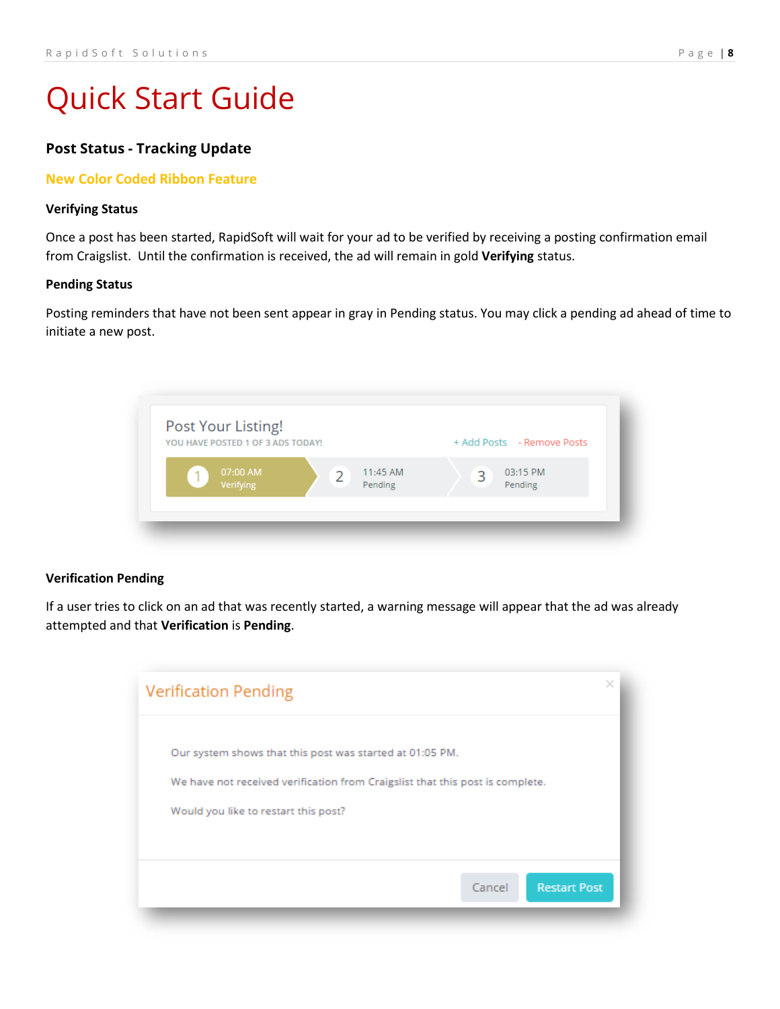# **Post Status - Tracking Update**

## **New Color Coded Ribbon Feature**

#### **Verifying Status**

Once a post has been started, RapidSoft will wait for your ad to be verified by receiving a posting confirmation email from Craigslist. Until the confirmation is received, the ad will remain in gold **Verifying** status.

#### **Pending Status**

Posting reminders that have not been sent appear in gray in Pending status. You may click a pending ad ahead of time to initiate a new post.



#### **Verification Pending**

If a user tries to click on an ad that was recently started, a warning message will appear that the ad was already attempted and that **Verification** is **Pending**.

| <b>Verification Pending</b>                                                                                                                                                       |                               | × |
|-----------------------------------------------------------------------------------------------------------------------------------------------------------------------------------|-------------------------------|---|
| Our system shows that this post was started at 01:05 PM.<br>We have not received verification from Craigslist that this post is complete.<br>Would you like to restart this post? |                               |   |
|                                                                                                                                                                                   | <b>Restart Post</b><br>Cancel |   |